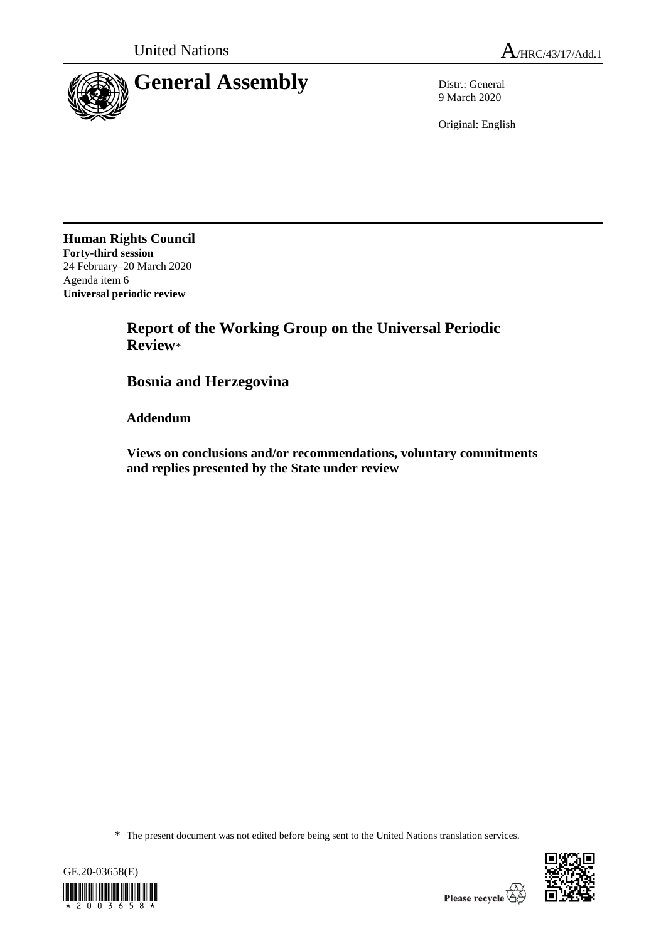

9 March 2020

Original: English

**Human Rights Council Forty-third session** 24 February–20 March 2020 Agenda item 6 **Universal periodic review**

> **Report of the Working Group on the Universal Periodic Review**\*

**Bosnia and Herzegovina**

**Addendum**

**Views on conclusions and/or recommendations, voluntary commitments and replies presented by the State under review**

\* The present document was not edited before being sent to the United Nations translation services.



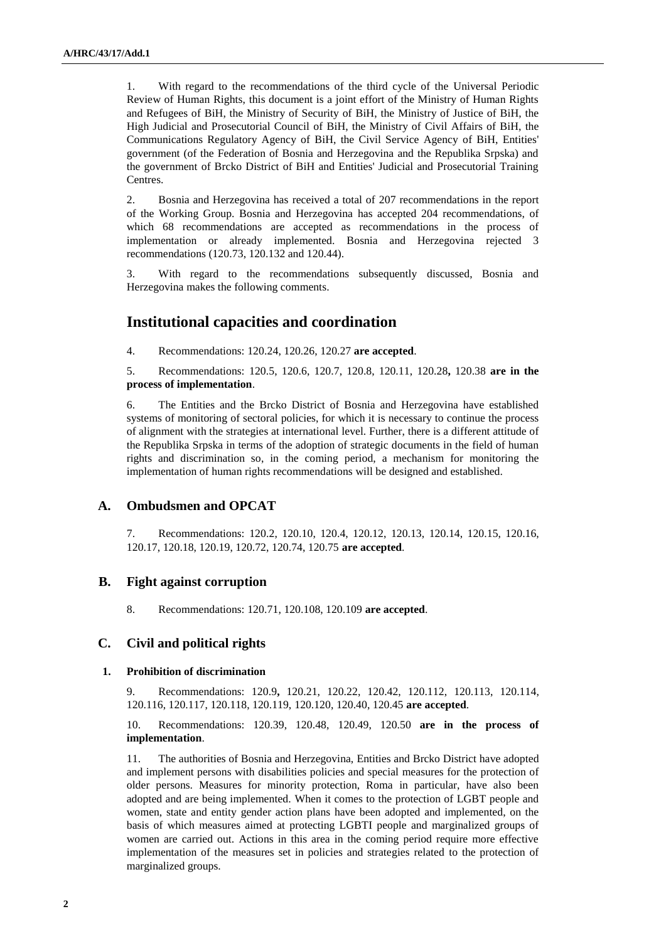1. With regard to the recommendations of the third cycle of the Universal Periodic Review of Human Rights, this document is a joint effort of the Ministry of Human Rights and Refugees of BiH, the Ministry of Security of BiH, the Ministry of Justice of BiH, the High Judicial and Prosecutorial Council of BiH, the Ministry of Civil Affairs of BiH, the Communications Regulatory Agency of BiH, the Civil Service Agency of BiH, Entities' government (of the Federation of Bosnia and Herzegovina and the Republika Srpska) and the government of Brcko District of BiH and Entities' Judicial and Prosecutorial Training **Centres**.

2. Bosnia and Herzegovina has received a total of 207 recommendations in the report of the Working Group. Bosnia and Herzegovina has accepted 204 recommendations, of which 68 recommendations are accepted as recommendations in the process of implementation or already implemented. Bosnia and Herzegovina rejected 3 recommendations (120.73, 120.132 and 120.44).

3. With regard to the recommendations subsequently discussed, Bosnia and Herzegovina makes the following comments.

# **Institutional capacities and coordination**

4. Recommendations: 120.24, 120.26, 120.27 **are accepted**.

5. Recommendations: 120.5, 120.6, 120.7, 120.8, 120.11, 120.28**,** 120.38 **are in the process of implementation**.

6. The Entities and the Brcko District of Bosnia and Herzegovina have established systems of monitoring of sectoral policies, for which it is necessary to continue the process of alignment with the strategies at international level. Further, there is a different attitude of the Republika Srpska in terms of the adoption of strategic documents in the field of human rights and discrimination so, in the coming period, a mechanism for monitoring the implementation of human rights recommendations will be designed and established.

# **A. Ombudsmen and OPCAT**

7. Recommendations: 120.2, 120.10, 120.4, 120.12, 120.13, 120.14, 120.15, 120.16, 120.17, 120.18, 120.19, 120.72, 120.74, 120.75 **are accepted**.

# **B. Fight against corruption**

8. Recommendations: 120.71, 120.108, 120.109 **are accepted**.

# **C. Civil and political rights**

#### **1. Prohibition of discrimination**

9. Recommendations: 120.9**,** 120.21, 120.22, 120.42, 120.112, 120.113, 120.114, 120.116, 120.117, 120.118, 120.119, 120.120, 120.40, 120.45 **are accepted**.

10. Recommendations: 120.39, 120.48, 120.49, 120.50 **are in the process of implementation**.

11. The authorities of Bosnia and Herzegovina, Entities and Brcko District have adopted and implement persons with disabilities policies and special measures for the protection of older persons. Measures for minority protection, Roma in particular, have also been adopted and are being implemented. When it comes to the protection of LGBT people and women, state and entity gender action plans have been adopted and implemented, on the basis of which measures aimed at protecting LGBTI people and marginalized groups of women are carried out. Actions in this area in the coming period require more effective implementation of the measures set in policies and strategies related to the protection of marginalized groups.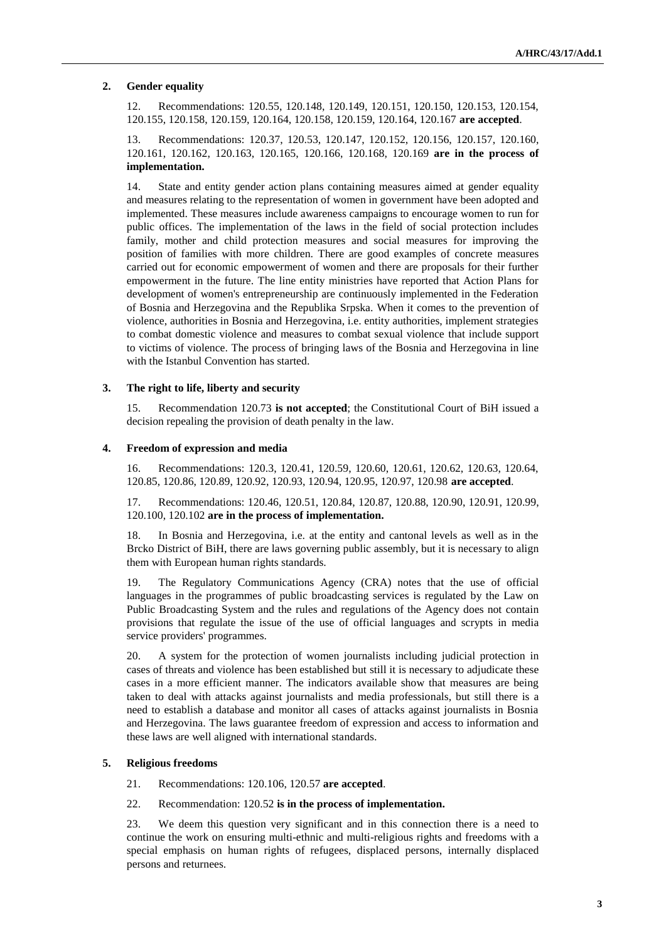#### **2. Gender equality**

12. Recommendations: 120.55, 120.148, 120.149, 120.151, 120.150, 120.153, 120.154, 120.155, 120.158, 120.159, 120.164, 120.158, 120.159, 120.164, 120.167 **are accepted**.

13. Recommendations: 120.37, 120.53, 120.147, 120.152, 120.156, 120.157, 120.160, 120.161, 120.162, 120.163, 120.165, 120.166, 120.168, 120.169 **are in the process of implementation.**

14. State and entity gender action plans containing measures aimed at gender equality and measures relating to the representation of women in government have been adopted and implemented. These measures include awareness campaigns to encourage women to run for public offices. The implementation of the laws in the field of social protection includes family, mother and child protection measures and social measures for improving the position of families with more children. There are good examples of concrete measures carried out for economic empowerment of women and there are proposals for their further empowerment in the future. The line entity ministries have reported that Action Plans for development of women's entrepreneurship are continuously implemented in the Federation of Bosnia and Herzegovina and the Republika Srpska. When it comes to the prevention of violence, authorities in Bosnia and Herzegovina, i.e. entity authorities, implement strategies to combat domestic violence and measures to combat sexual violence that include support to victims of violence. The process of bringing laws of the Bosnia and Herzegovina in line with the Istanbul Convention has started.

#### **3. The right to life, liberty and security**

15. Recommendation 120.73 **is not accepted**; the Constitutional Court of BiH issued a decision repealing the provision of death penalty in the law.

#### **4. Freedom of expression and media**

16. Recommendations: 120.3, 120.41, 120.59, 120.60, 120.61, 120.62, 120.63, 120.64, 120.85, 120.86, 120.89, 120.92, 120.93, 120.94, 120.95, 120.97, 120.98 **are accepted**.

17. Recommendations: 120.46, 120.51, 120.84, 120.87, 120.88, 120.90, 120.91, 120.99, 120.100, 120.102 **are in the process of implementation.**

18. In Bosnia and Herzegovina, i.e. at the entity and cantonal levels as well as in the Brcko District of BiH, there are laws governing public assembly, but it is necessary to align them with European human rights standards.

19. The Regulatory Communications Agency (CRA) notes that the use of official languages in the programmes of public broadcasting services is regulated by the Law on Public Broadcasting System and the rules and regulations of the Agency does not contain provisions that regulate the issue of the use of official languages and scrypts in media service providers' programmes.

20. A system for the protection of women journalists including judicial protection in cases of threats and violence has been established but still it is necessary to adjudicate these cases in a more efficient manner. The indicators available show that measures are being taken to deal with attacks against journalists and media professionals, but still there is a need to establish a database and monitor all cases of attacks against journalists in Bosnia and Herzegovina. The laws guarantee freedom of expression and access to information and these laws are well aligned with international standards.

#### **5. Religious freedoms**

21. Recommendations: 120.106, 120.57 **are accepted**.

22. Recommendation: 120.52 **is in the process of implementation.**

23. We deem this question very significant and in this connection there is a need to continue the work on ensuring multi-ethnic and multi-religious rights and freedoms with a special emphasis on human rights of refugees, displaced persons, internally displaced persons and returnees.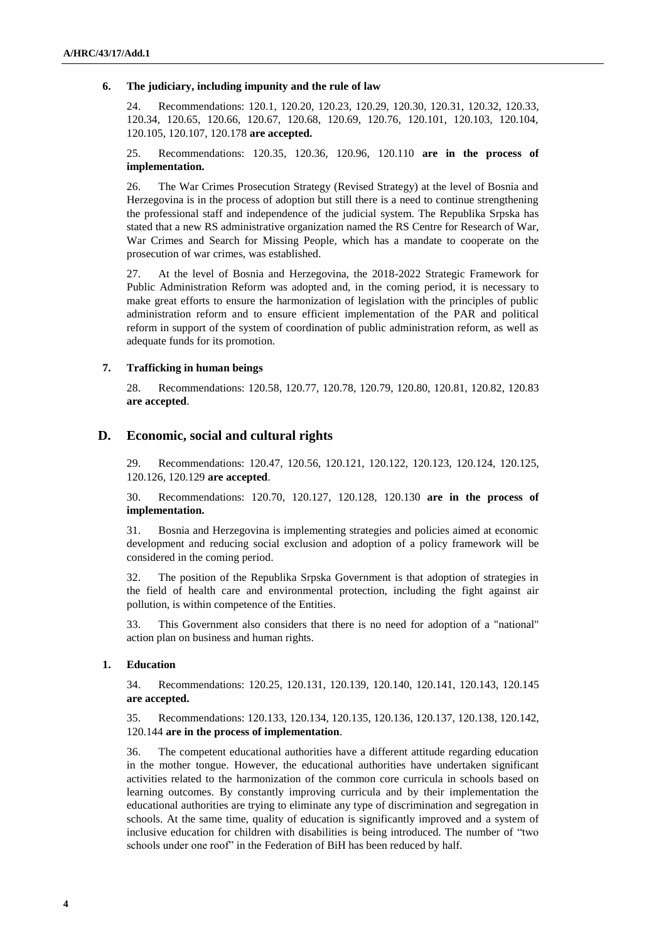#### **6. The judiciary, including impunity and the rule of law**

24. Recommendations: 120.1, 120.20, 120.23, 120.29, 120.30, 120.31, 120.32, 120.33, 120.34, 120.65, 120.66, 120.67, 120.68, 120.69, 120.76, 120.101, 120.103, 120.104, 120.105, 120.107, 120.178 **are accepted.**

25. Recommendations: 120.35, 120.36, 120.96, 120.110 **are in the process of implementation.**

26. The War Crimes Prosecution Strategy (Revised Strategy) at the level of Bosnia and Herzegovina is in the process of adoption but still there is a need to continue strengthening the professional staff and independence of the judicial system. The Republika Srpska has stated that a new RS administrative organization named the RS Centre for Research of War, War Crimes and Search for Missing People, which has a mandate to cooperate on the prosecution of war crimes, was established.

27. At the level of Bosnia and Herzegovina, the 2018-2022 Strategic Framework for Public Administration Reform was adopted and, in the coming period, it is necessary to make great efforts to ensure the harmonization of legislation with the principles of public administration reform and to ensure efficient implementation of the PAR and political reform in support of the system of coordination of public administration reform, as well as adequate funds for its promotion.

#### **7. Trafficking in human beings**

28. Recommendations: 120.58, 120.77, 120.78, 120.79, 120.80, 120.81, 120.82, 120.83 **are accepted**.

# **D. Economic, social and cultural rights**

29. Recommendations: 120.47, 120.56, 120.121, 120.122, 120.123, 120.124, 120.125, 120.126, 120.129 **are accepted**.

30. Recommendations: 120.70, 120.127, 120.128, 120.130 **are in the process of implementation.**

31. Bosnia and Herzegovina is implementing strategies and policies aimed at economic development and reducing social exclusion and adoption of a policy framework will be considered in the coming period.

32. The position of the Republika Srpska Government is that adoption of strategies in the field of health care and environmental protection, including the fight against air pollution, is within competence of the Entities.

33. This Government also considers that there is no need for adoption of a "national" action plan on business and human rights.

## **1. Education**

34. Recommendations: 120.25, 120.131, 120.139, 120.140, 120.141, 120.143, 120.145 **are accepted.**

35. Recommendations: 120.133, 120.134, 120.135, 120.136, 120.137, 120.138, 120.142, 120.144 **are in the process of implementation**.

36. The competent educational authorities have a different attitude regarding education in the mother tongue. However, the educational authorities have undertaken significant activities related to the harmonization of the common core curricula in schools based on learning outcomes. By constantly improving curricula and by their implementation the educational authorities are trying to eliminate any type of discrimination and segregation in schools. At the same time, quality of education is significantly improved and a system of inclusive education for children with disabilities is being introduced. The number of "two schools under one roof" in the Federation of BiH has been reduced by half.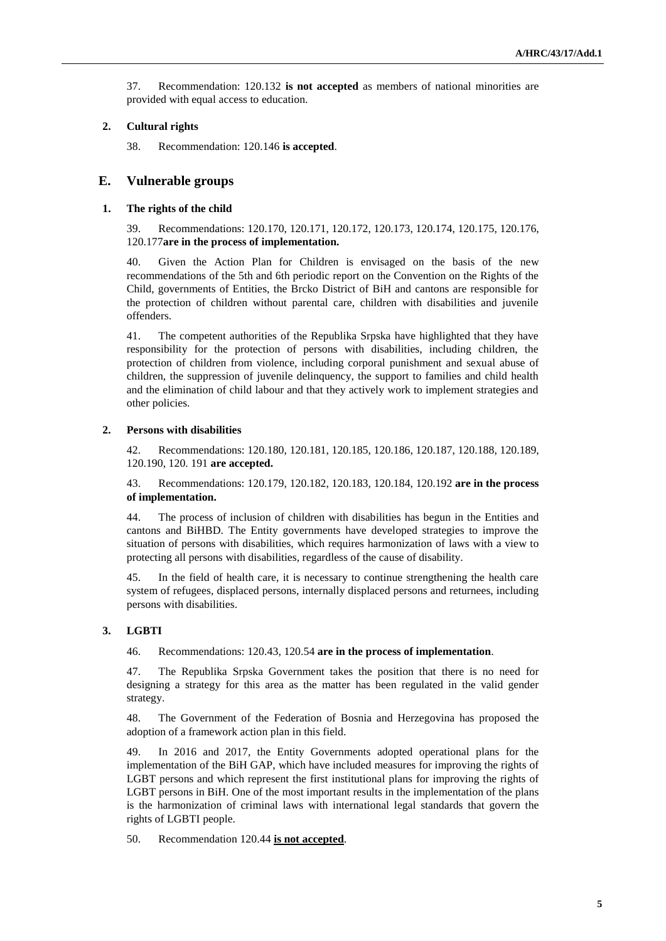37. Recommendation: 120.132 **is not accepted** as members of national minorities are provided with equal access to education.

### **2. Cultural rights**

38. Recommendation: 120.146 **is accepted**.

# **E. Vulnerable groups**

#### **1. The rights of the child**

39. Recommendations: 120.170, 120.171, 120.172, 120.173, 120.174, 120.175, 120.176, 120.177**are in the process of implementation.**

40. Given the Action Plan for Children is envisaged on the basis of the new recommendations of the 5th and 6th periodic report on the Convention on the Rights of the Child, governments of Entities, the Brcko District of BiH and cantons are responsible for the protection of children without parental care, children with disabilities and juvenile offenders.

41. The competent authorities of the Republika Srpska have highlighted that they have responsibility for the protection of persons with disabilities, including children, the protection of children from violence, including corporal punishment and sexual abuse of children, the suppression of juvenile delinquency, the support to families and child health and the elimination of child labour and that they actively work to implement strategies and other policies.

### **2. Persons with disabilities**

42. Recommendations: 120.180, 120.181, 120.185, 120.186, 120.187, 120.188, 120.189, 120.190, 120. 191 **are accepted.**

43. Recommendations: 120.179, 120.182, 120.183, 120.184, 120.192 **are in the process of implementation.**

44. The process of inclusion of children with disabilities has begun in the Entities and cantons and BiHBD. The Entity governments have developed strategies to improve the situation of persons with disabilities, which requires harmonization of laws with a view to protecting all persons with disabilities, regardless of the cause of disability.

45. In the field of health care, it is necessary to continue strengthening the health care system of refugees, displaced persons, internally displaced persons and returnees, including persons with disabilities.

# **3. LGBTI**

46. Recommendations: 120.43, 120.54 **are in the process of implementation**.

47. The Republika Srpska Government takes the position that there is no need for designing a strategy for this area as the matter has been regulated in the valid gender strategy.

48. The Government of the Federation of Bosnia and Herzegovina has proposed the adoption of a framework action plan in this field.

49. In 2016 and 2017, the Entity Governments adopted operational plans for the implementation of the BiH GAP, which have included measures for improving the rights of LGBT persons and which represent the first institutional plans for improving the rights of LGBT persons in BiH. One of the most important results in the implementation of the plans is the harmonization of criminal laws with international legal standards that govern the rights of LGBTI people.

50. Recommendation 120.44 **is not accepted**.